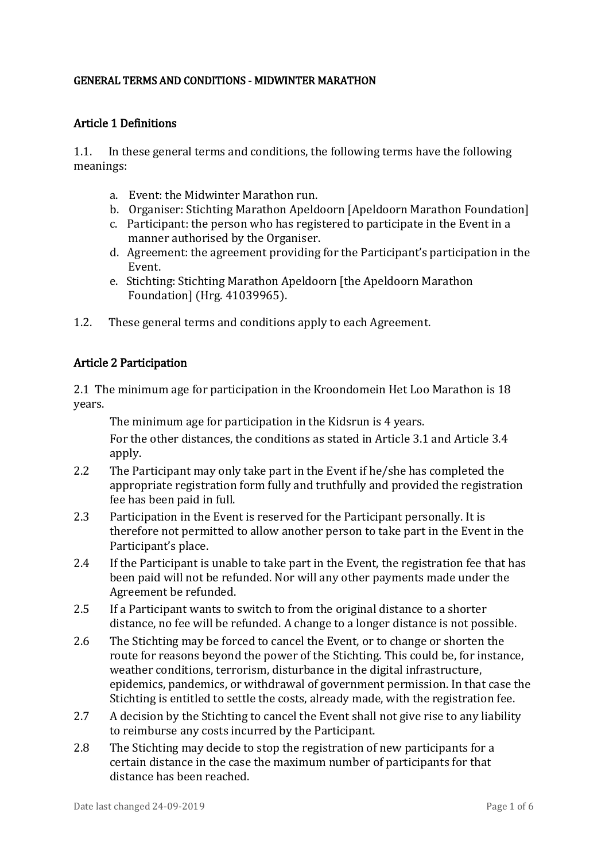## GENERAL TERMS AND CONDITIONS - MIDWINTER MARATHON

## Article 1 Definitions

1.1. In these general terms and conditions, the following terms have the following meanings:

- a. Event: the Midwinter Marathon run.
- b. Organiser: Stichting Marathon Apeldoorn [Apeldoorn Marathon Foundation]
- c. Participant: the person who has registered to participate in the Event in a manner authorised by the Organiser.
- d. Agreement: the agreement providing for the Participant's participation in the Event.
- e. Stichting: Stichting Marathon Apeldoorn [the Apeldoorn Marathon Foundation] (Hrg. 41039965).
- 1.2. These general terms and conditions apply to each Agreement.

# Article 2 Participation

2.1 The minimum age for participation in the Kroondomein Het Loo Marathon is 18 years.

The minimum age for participation in the Kidsrun is 4 years.

For the other distances, the conditions as stated in Article 3.1 and Article 3.4 apply.

- 2.2 The Participant may only take part in the Event if he/she has completed the appropriate registration form fully and truthfully and provided the registration fee has been paid in full.
- 2.3 Participation in the Event is reserved for the Participant personally. It is therefore not permitted to allow another person to take part in the Event in the Participant's place.
- 2.4 If the Participant is unable to take part in the Event, the registration fee that has been paid will not be refunded. Nor will any other payments made under the Agreement be refunded.
- 2.5 If a Participant wants to switch to from the original distance to a shorter distance, no fee will be refunded. A change to a longer distance is not possible.
- 2.6 The Stichting may be forced to cancel the Event, or to change or shorten the route for reasons beyond the power of the Stichting. This could be, for instance, weather conditions, terrorism, disturbance in the digital infrastructure, epidemics, pandemics, or withdrawal of government permission. In that case the Stichting is entitled to settle the costs, already made, with the registration fee.
- 2.7 A decision by the Stichting to cancel the Event shall not give rise to any liability to reimburse any costs incurred by the Participant.
- 2.8 The Stichting may decide to stop the registration of new participants for a certain distance in the case the maximum number of participants for that distance has been reached.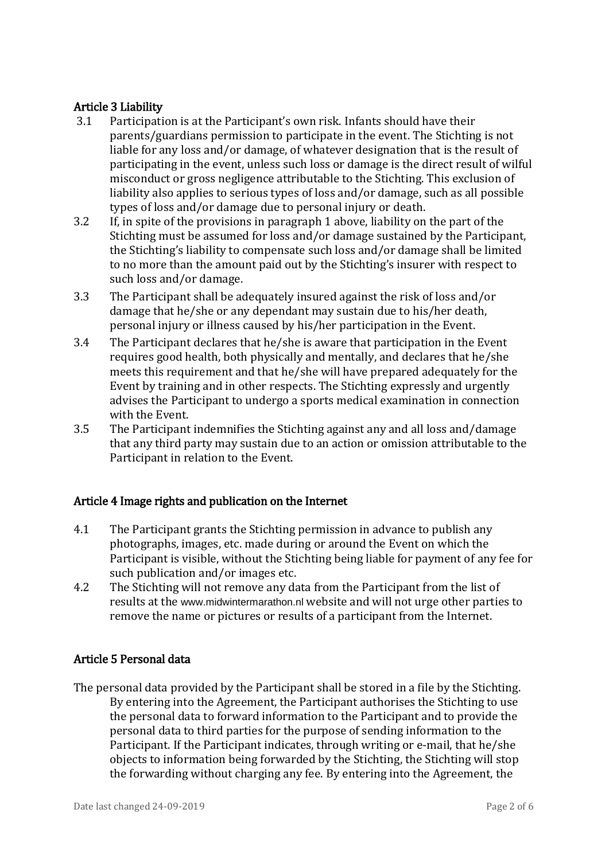# Article 3 Liability

- 3.1 Participation is at the Participant's own risk. Infants should have their parents/guardians permission to participate in the event. The Stichting is not liable for any loss and/or damage, of whatever designation that is the result of participating in the event, unless such loss or damage is the direct result of wilful misconduct or gross negligence attributable to the Stichting. This exclusion of liability also applies to serious types of loss and/or damage, such as all possible types of loss and/or damage due to personal injury or death.
- 3.2 If, in spite of the provisions in paragraph 1 above, liability on the part of the Stichting must be assumed for loss and/or damage sustained by the Participant, the Stichting's liability to compensate such loss and/or damage shall be limited to no more than the amount paid out by the Stichting's insurer with respect to such loss and/or damage.
- 3.3 The Participant shall be adequately insured against the risk of loss and/or damage that he/she or any dependant may sustain due to his/her death, personal injury or illness caused by his/her participation in the Event.
- 3.4 The Participant declares that he/she is aware that participation in the Event requires good health, both physically and mentally, and declares that he/she meets this requirement and that he/she will have prepared adequately for the Event by training and in other respects. The Stichting expressly and urgently advises the Participant to undergo a sports medical examination in connection with the Event.
- 3.5 The Participant indemnifies the Stichting against any and all loss and/damage that any third party may sustain due to an action or omission attributable to the Participant in relation to the Event.

# Article 4 Image rights and publication on the Internet

- 4.1 The Participant grants the Stichting permission in advance to publish any photographs, images, etc. made during or around the Event on which the Participant is visible, without the Stichting being liable for payment of any fee for such publication and/or images etc.
- 4.2 The Stichting will not remove any data from the Participant from the list of results at the [www.midwintermarathon.nl](http://www.midwintermarathon.nl/) website and will not urge other parties to remove the name or pictures or results of a participant from the Internet.

# Article 5 Personal data

The personal data provided by the Participant shall be stored in a file by the Stichting. By entering into the Agreement, the Participant authorises the Stichting to use the personal data to forward information to the Participant and to provide the personal data to third parties for the purpose of sending information to the Participant. If the Participant indicates, through writing or e-mail, that he/she objects to information being forwarded by the Stichting, the Stichting will stop the forwarding without charging any fee. By entering into the Agreement, the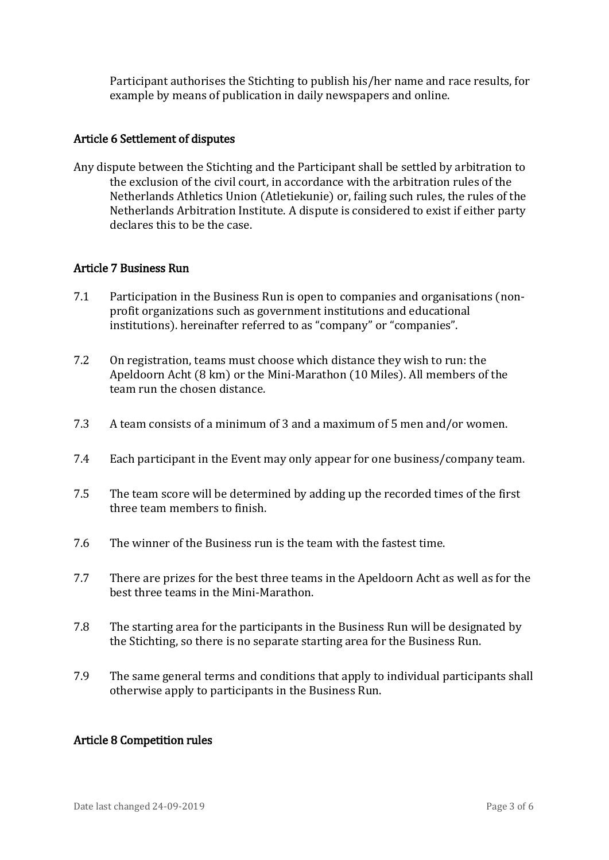Participant authorises the Stichting to publish his/her name and race results, for example by means of publication in daily newspapers and online.

## Article 6 Settlement of disputes

Any dispute between the Stichting and the Participant shall be settled by arbitration to the exclusion of the civil court, in accordance with the arbitration rules of the Netherlands Athletics Union (Atletiekunie) or, failing such rules, the rules of the Netherlands Arbitration Institute. A dispute is considered to exist if either party declares this to be the case.

## Article 7 Business Run

- 7.1 Participation in the Business Run is open to companies and organisations (nonprofit organizations such as government institutions and educational institutions). hereinafter referred to as "company" or "companies".
- 7.2 On registration, teams must choose which distance they wish to run: the Apeldoorn Acht (8 km) or the Mini-Marathon (10 Miles). All members of the team run the chosen distance.
- 7.3 A team consists of a minimum of 3 and a maximum of 5 men and/or women.
- 7.4 Each participant in the Event may only appear for one business/company team.
- 7.5 The team score will be determined by adding up the recorded times of the first three team members to finish.
- 7.6 The winner of the Business run is the team with the fastest time.
- 7.7 There are prizes for the best three teams in the Apeldoorn Acht as well as for the best three teams in the Mini-Marathon.
- 7.8 The starting area for the participants in the Business Run will be designated by the Stichting, so there is no separate starting area for the Business Run.
- 7.9 The same general terms and conditions that apply to individual participants shall otherwise apply to participants in the Business Run.

#### Article 8 Competition rules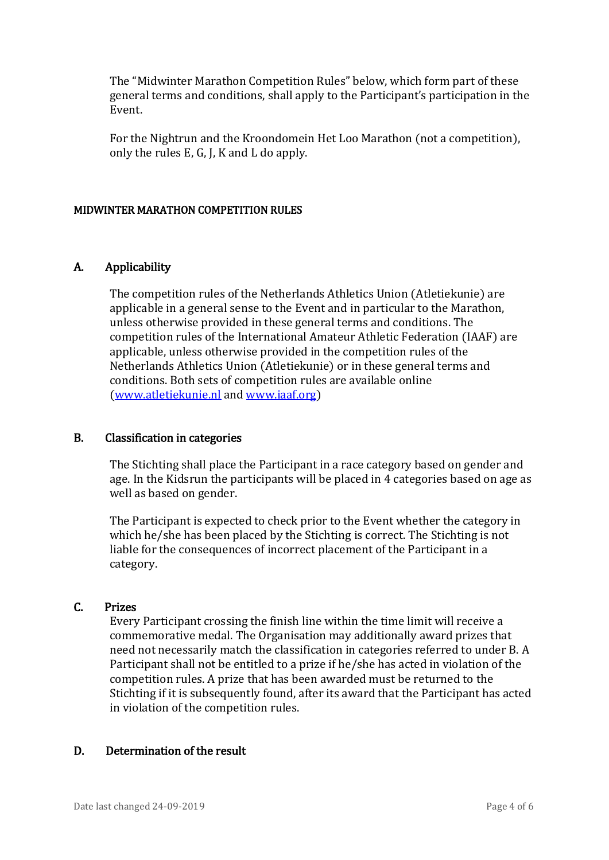The "Midwinter Marathon Competition Rules" below, which form part of these general terms and conditions, shall apply to the Participant's participation in the Event.

For the Nightrun and the Kroondomein Het Loo Marathon (not a competition), only the rules E, G, J, K and L do apply.

#### MIDWINTER MARATHON COMPETITION RULES

#### A. Applicability

The competition rules of the Netherlands Athletics Union (Atletiekunie) are applicable in a general sense to the Event and in particular to the Marathon, unless otherwise provided in these general terms and conditions. The competition rules of the International Amateur Athletic Federation (IAAF) are applicable, unless otherwise provided in the competition rules of the Netherlands Athletics Union (Atletiekunie) or in these general terms and conditions. Both sets of competition rules are available online [\(www.atletiekunie.nl](http://www.atletiekunie.nl/) and [www.iaaf.org\)](http://www.iaaf.org/)

#### B. Classification in categories

The Stichting shall place the Participant in a race category based on gender and age. In the Kidsrun the participants will be placed in 4 categories based on age as well as based on gender.

The Participant is expected to check prior to the Event whether the category in which he/she has been placed by the Stichting is correct. The Stichting is not liable for the consequences of incorrect placement of the Participant in a category.

#### C. Prizes

Every Participant crossing the finish line within the time limit will receive a commemorative medal. The Organisation may additionally award prizes that need not necessarily match the classification in categories referred to under B. A Participant shall not be entitled to a prize if he/she has acted in violation of the competition rules. A prize that has been awarded must be returned to the Stichting if it is subsequently found, after its award that the Participant has acted in violation of the competition rules.

# D. Determination of the result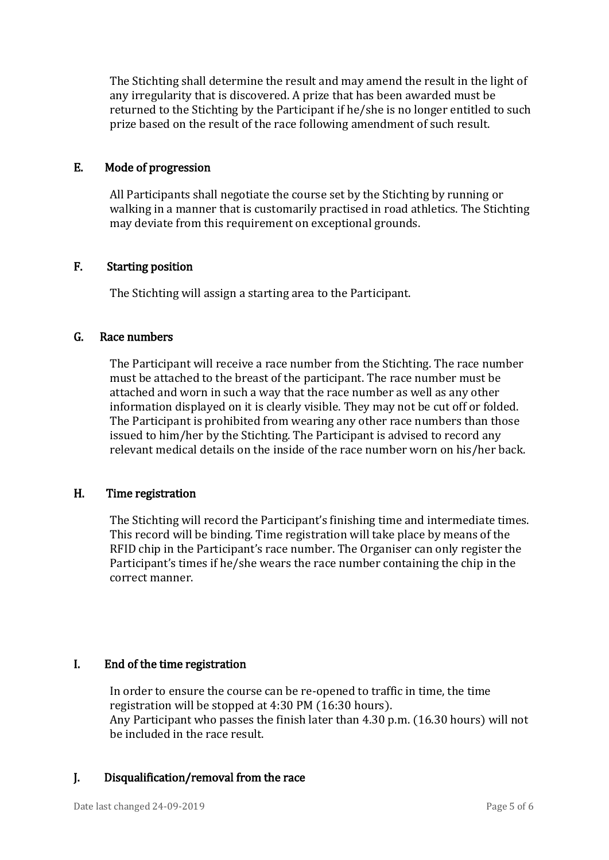The Stichting shall determine the result and may amend the result in the light of any irregularity that is discovered. A prize that has been awarded must be returned to the Stichting by the Participant if he/she is no longer entitled to such prize based on the result of the race following amendment of such result.

## E. Mode of progression

All Participants shall negotiate the course set by the Stichting by running or walking in a manner that is customarily practised in road athletics. The Stichting may deviate from this requirement on exceptional grounds.

## F. Starting position

The Stichting will assign a starting area to the Participant.

## G. Race numbers

The Participant will receive a race number from the Stichting. The race number must be attached to the breast of the participant. The race number must be attached and worn in such a way that the race number as well as any other information displayed on it is clearly visible. They may not be cut off or folded. The Participant is prohibited from wearing any other race numbers than those issued to him/her by the Stichting. The Participant is advised to record any relevant medical details on the inside of the race number worn on his/her back.

# H. Time registration

The Stichting will record the Participant's finishing time and intermediate times. This record will be binding. Time registration will take place by means of the RFID chip in the Participant's race number. The Organiser can only register the Participant's times if he/she wears the race number containing the chip in the correct manner.

#### I. End of the time registration

In order to ensure the course can be re-opened to traffic in time, the time registration will be stopped at 4:30 PM (16:30 hours). Any Participant who passes the finish later than 4.30 p.m. (16.30 hours) will not be included in the race result.

# J. Disqualification/removal from the race